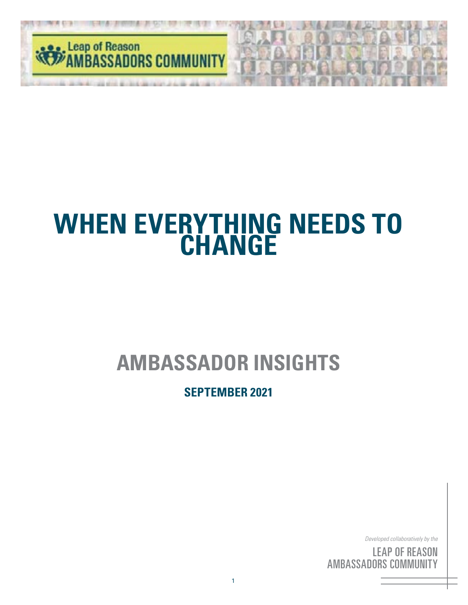

## **AMBASSADOR INSIGHTS**

#### **SEPTEMBER 2021**

*Developed collaboratively by the*

<sup>c by</sup><br>S( <sup>the</sup><br>IN<br>'Y ' <sup>by</sup><br>S( <sub>the</sub><br>DN<br>FY LEAP OF REASON AMBASSADORS COMMUNITY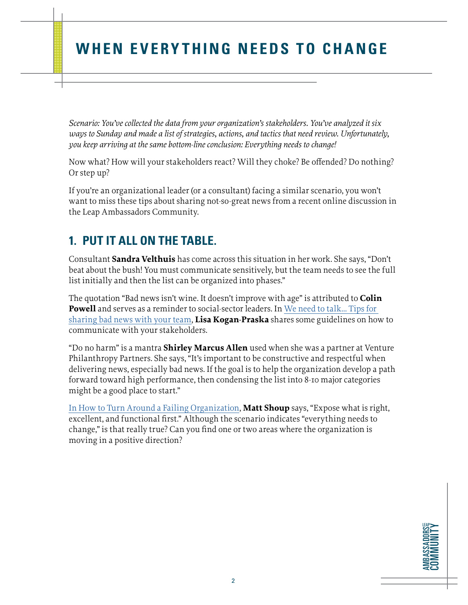*Scenario: You've collected the data from your organization's stakeholders. You've analyzed it six ways to Sunday and made a list of strategies, actions, and tactics that need review. Unfortunately, you keep arriving at the same bottom-line conclusion: Everything needs to change!*

Now what? How will your stakeholders react? Will they choke? Be offended? Do nothing? Or step up?

If you're an organizational leader (or a consultant) facing a similar scenario, you won't want to miss these tips about sharing not-so-great news from a recent online discussion in the Leap Ambassadors Community.

#### **1. PUT IT ALL ON THE TABLE.**

Consultant **Sandra Velthuis** has come across this situation in her work. She says, "Don't beat about the bush! You must communicate sensitively, but the team needs to see the full list initially and then the list can be organized into phases."

The quotation "Bad news isn't wine. It doesn't improve with age" is attributed to **Colin Powell** and serves as a reminder to social-sector leaders. In [We need to talk... Tips for](https://www.linkedin.com/pulse/we-need-talk-tips-sharing-bad-news-your-team-lisa-kogan-praska/)  [sharing bad news with your team,](https://www.linkedin.com/pulse/we-need-talk-tips-sharing-bad-news-your-team-lisa-kogan-praska/) **Lisa Kogan-Praska** shares some guidelines on how to communicate with your stakeholders.

"Do no harm" is a mantra **Shirley Marcus Allen** used when she was a partner at Venture Philanthropy Partners. She says, "It's important to be constructive and respectful when delivering news, especially bad news. If the goal is to help the organization develop a path forward toward high performance, then condensing the list into 8-10 major categories might be a good place to start."

[In How to Turn Around a Failing Organization](https://www.inc.com/how-to-turn-around-a-failing-organization.html), **Matt Shoup** says, "Expose what is right, excellent, and functional first." Although the scenario indicates "everything needs to change," is that really true? Can you find one or two areas where the organization is moving in a positive direction?

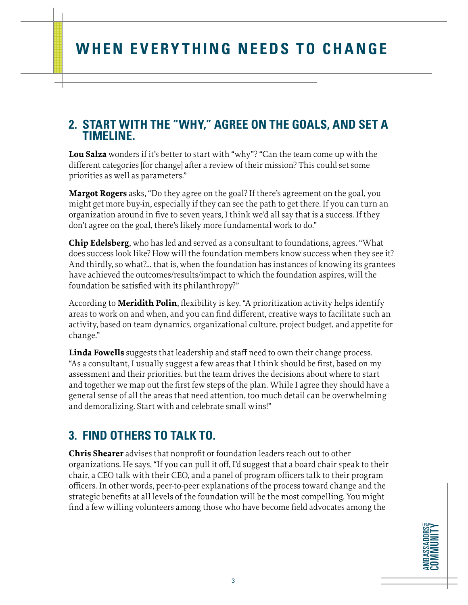#### **2. START WITH THE "WHY," AGREE ON THE GOALS, AND SET A TIMELINE.**

**Lou Salza** wonders if it's better to start with "why"? "Can the team come up with the different categories [for change] after a review of their mission? This could set some priorities as well as parameters."

**Margot Rogers** asks, "Do they agree on the goal? If there's agreement on the goal, you might get more buy-in, especially if they can see the path to get there. If you can turn an organization around in five to seven years, I think we'd all say that is a success. If they don't agree on the goal, there's likely more fundamental work to do."

**Chip Edelsberg**, who has led and served as a consultant to foundations, agrees. "What does success look like? How will the foundation members know success when they see it? And thirdly, so what?... that is, when the foundation has instances of knowing its grantees have achieved the outcomes/results/impact to which the foundation aspires, will the foundation be satisfied with its philanthropy?"

According to **Meridith Polin**, flexibility is key. "A prioritization activity helps identify areas to work on and when, and you can find different, creative ways to facilitate such an activity, based on team dynamics, organizational culture, project budget, and appetite for change."

**Linda Fowells** suggests that leadership and staff need to own their change process. "As a consultant, I usually suggest a few areas that I think should be first, based on my assessment and their priorities. but the team drives the decisions about where to start and together we map out the first few steps of the plan. While I agree they should have a general sense of all the areas that need attention, too much detail can be overwhelming and demoralizing. Start with and celebrate small wins!"

#### **3. FIND OTHERS TO TALK TO.**

**Chris Shearer** advises that nonprofit or foundation leaders reach out to other organizations. He says, "If you can pull it off, I'd suggest that a board chair speak to their chair, a CEO talk with their CEO, and a panel of program officers talk to their program officers. In other words, peer-to-peer explanations of the process toward change and the strategic benefits at all levels of the foundation will be the most compelling. You might find a few willing volunteers among those who have become field advocates among the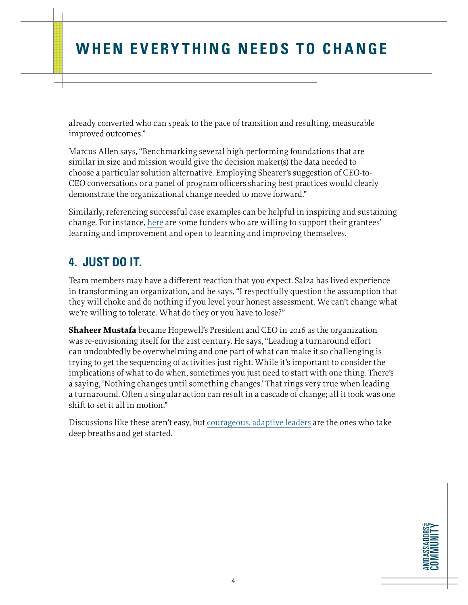already converted who can speak to the pace of transition and resulting, measurable improved outcomes."

Marcus Allen says, "Benchmarking several high-performing foundations that are similar in size and mission would give the decision maker(s) the data needed to choose a particular solution alternative. Employing Shearer's suggestion of CEO-to-CEO conversations or a panel of program officers sharing best practices would clearly demonstrate the organizational change needed to move forward."

Similarly, referencing successful case examples can be helpful in inspiring and sustaining change. For instance, [here](https://www.leapambassadors.org/for-funders/funding-performance/) are some funders who are willing to support their grantees' learning and improvement and open to learning and improving themselves.

#### **4. JUST DO IT.**

Team members may have a different reaction that you expect. Salza has lived experience in transforming an organization, and he says, "I respectfully question the assumption that they will choke and do nothing if you level your honest assessment. We can't change what we're willing to tolerate. What do they or you have to lose?"

**Shaheer Mustafa** became Hopewell's President and CEO in 2016 as the organization was re-envisioning itself for the 21st century. He says, "Leading a turnaround effort can undoubtedly be overwhelming and one part of what can make it so challenging is trying to get the sequencing of activities just right. While it's important to consider the implications of what to do when, sometimes you just need to start with one thing. There's a saying, 'Nothing changes until something changes.' That rings very true when leading a turnaround. Often a singular action can result in a cascade of change; all it took was one shift to set it all in motion."

Discussions like these aren't easy, but [courageous, adaptive leaders](https://www.leapambassadors.org/pillars/courageous-adaptive-executive-and-board-leadership/) are the ones who take deep breaths and get started.